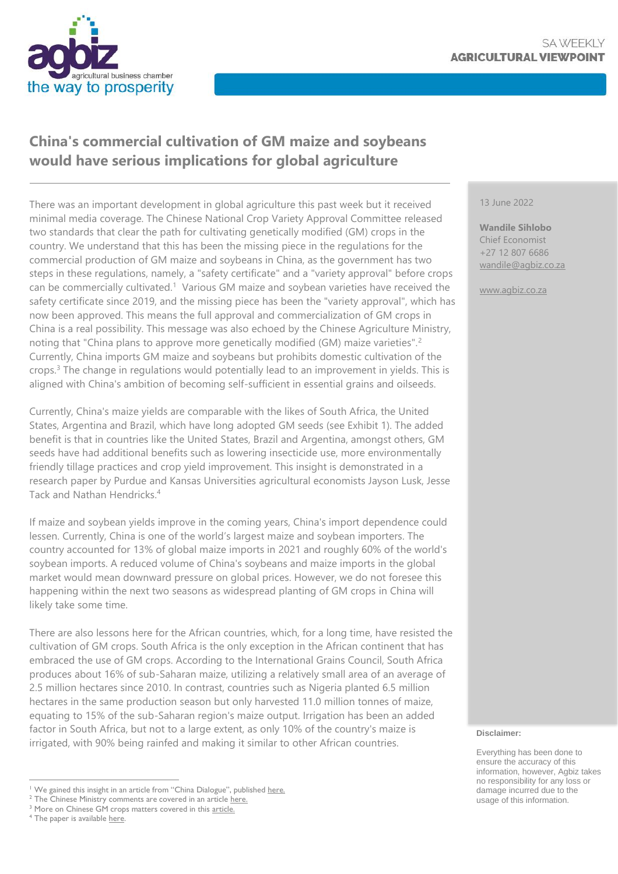

# **China's commercial cultivation of GM maize and soybeans would have serious implications for global agriculture**

There was an important development in global agriculture this past week but it received minimal media coverage. The Chinese National Crop Variety Approval Committee released two standards that clear the path for cultivating genetically modified (GM) crops in the country. We understand that this has been the missing piece in the regulations for the commercial production of GM maize and soybeans in China, as the government has two steps in these regulations, namely, a "safety certificate" and a "variety approval" before crops can be commercially cultivated.<sup>1</sup> Various GM maize and soybean varieties have received the safety certificate since 2019, and the missing piece has been the "variety approval", which has now been approved. This means the full approval and commercialization of GM crops in China is a real possibility. This message was also echoed by the Chinese Agriculture Ministry, noting that "China plans to approve more genetically modified (GM) maize varieties".<sup>2</sup> Currently, China imports GM maize and soybeans but prohibits domestic cultivation of the crops.<sup>3</sup> The change in regulations would potentially lead to an improvement in yields. This is aligned with China's ambition of becoming self-sufficient in essential grains and oilseeds.

Currently, China's maize yields are comparable with the likes of South Africa, the United States, Argentina and Brazil, which have long adopted GM seeds (see Exhibit 1). The added benefit is that in countries like the United States, Brazil and Argentina, amongst others, GM seeds have had additional benefits such as lowering insecticide use, more environmentally friendly tillage practices and crop yield improvement. This insight is demonstrated in a research paper by Purdue and Kansas Universities agricultural economists Jayson Lusk, Jesse Tack and Nathan Hendricks.<sup>4</sup>

If maize and soybean yields improve in the coming years, China's import dependence could lessen. Currently, China is one of the world's largest maize and soybean importers. The country accounted for 13% of global maize imports in 2021 and roughly 60% of the world's soybean imports. A reduced volume of China's soybeans and maize imports in the global market would mean downward pressure on global prices. However, we do not foresee this happening within the next two seasons as widespread planting of GM crops in China will likely take some time.

There are also lessons here for the African countries, which, for a long time, have resisted the cultivation of GM crops. South Africa is the only exception in the African continent that has embraced the use of GM crops. According to the International Grains Council, South Africa produces about 16% of sub-Saharan maize, utilizing a relatively small area of an average of 2.5 million hectares since 2010. In contrast, countries such as Nigeria planted 6.5 million hectares in the same production season but only harvested 11.0 million tonnes of maize, equating to 15% of the sub-Saharan region's maize output. Irrigation has been an added factor in South Africa, but not to a large extent, as only 10% of the country's maize is irrigated, with 90% being rainfed and making it similar to other African countries.

#### 13 June 2022

**Wandile Sihlobo** Chief Economist +27 12 807 6686 [wandile@agbiz.co.za](mailto:wandile@agbiz.co.za)

[www.agbiz.co.za](http://www.agbiz.co.za/)

#### **Disclaimer:**

Everything has been done to ensure the accuracy of this information, however, Agbiz takes no responsibility for any loss or damage incurred due to the usage of this information.

<sup>&</sup>lt;sup>1</sup> We gained this insight in an article from "China Dialogue", published [here.](https://chinadialogue.net/en/digest/scene-set-for-commercial-cultivation-of-gm-maize-and-soy-in-china/)

<sup>&</sup>lt;sup>2</sup> The Chinese Ministry comments are covered in an article [here.](https://www.agriculture.com/markets/newswire/reuters-news-schedule-at-10-pm-gmt-6-am-sgt-3)

<sup>&</sup>lt;sup>3</sup> More on Chinese GM crops matters covered in thi[s article.](https://www.scidev.net/asia-pacific/opinions/china-shifting-gm-policy-to-grow-more-corn-soybean/#:~:text=for%20more%20meat.-,China%20currently%20imports%20GM%20corn%20and%20soybean%20but%20disallows%20the,volumes%20of%20these%20two%20feeds.)

<sup>&</sup>lt;sup>4</sup> The paper is availabl[e here.](https://www.nber.org/system/files/working_papers/w23519/w23519.pdf)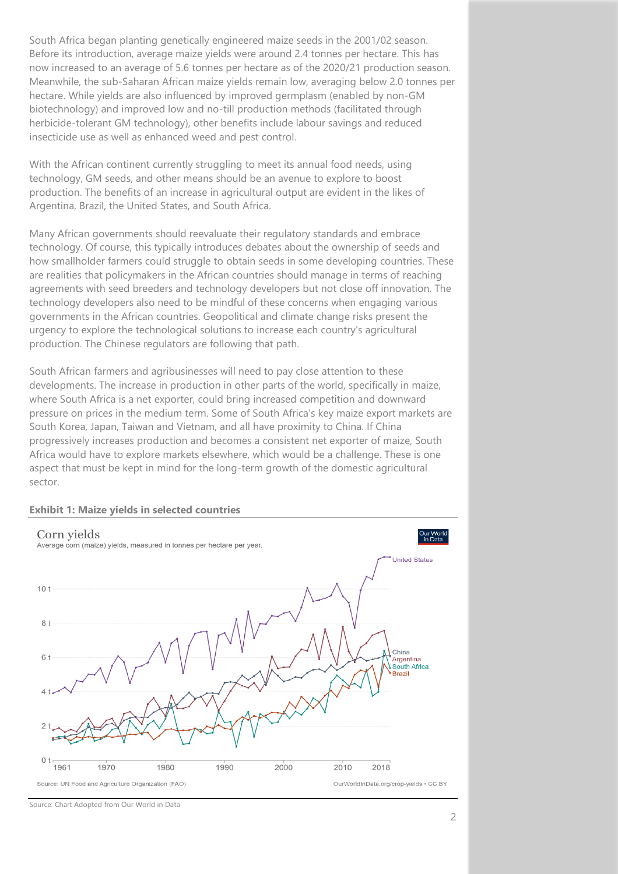South Africa began planting genetically engineered maize seeds in the 2001/02 season. Before its introduction, average maize yields were around 2.4 tonnes per hectare. This has now increased to an average of 5.6 tonnes per hectare as of the 2020/21 production season. Meanwhile, the sub-Saharan African maize yields remain low, averaging below 2.0 tonnes per hectare. While yields are also influenced by improved germplasm (enabled by non-GM biotechnology) and improved low and no-till production methods (facilitated through herbicide-tolerant GM technology), other benefits include labour savings and reduced insecticide use as well as enhanced weed and pest control.

With the African continent currently struggling to meet its annual food needs, using technology, GM seeds, and other means should be an avenue to explore to boost production. The benefits of an increase in agricultural output are evident in the likes of Argentina, Brazil, the United States, and South Africa.

Many African governments should reevaluate their regulatory standards and embrace technology. Of course, this typically introduces debates about the ownership of seeds and how smallholder farmers could struggle to obtain seeds in some developing countries. These are realities that policymakers in the African countries should manage in terms of reaching agreements with seed breeders and technology developers but not close off innovation. The technology developers also need to be mindful of these concerns when engaging various governments in the African countries. Geopolitical and climate change risks present the urgency to explore the technological solutions to increase each country's agricultural production. The Chinese regulators are following that path.

South African farmers and agribusinesses will need to pay close attention to these developments. The increase in production in other parts of the world, specifically in maize, where South Africa is a net exporter, could bring increased competition and downward pressure on prices in the medium term. Some of South Africa's key maize export markets are South Korea, Japan, Taiwan and Vietnam, and all have proximity to China. If China progressively increases production and becomes a consistent net exporter of maize, South Africa would have to explore markets elsewhere, which would be a challenge. These is one aspect that must be kept in mind for the long-term growth of the domestic agricultural sector.





Source: Chart Adopted from Our World in Data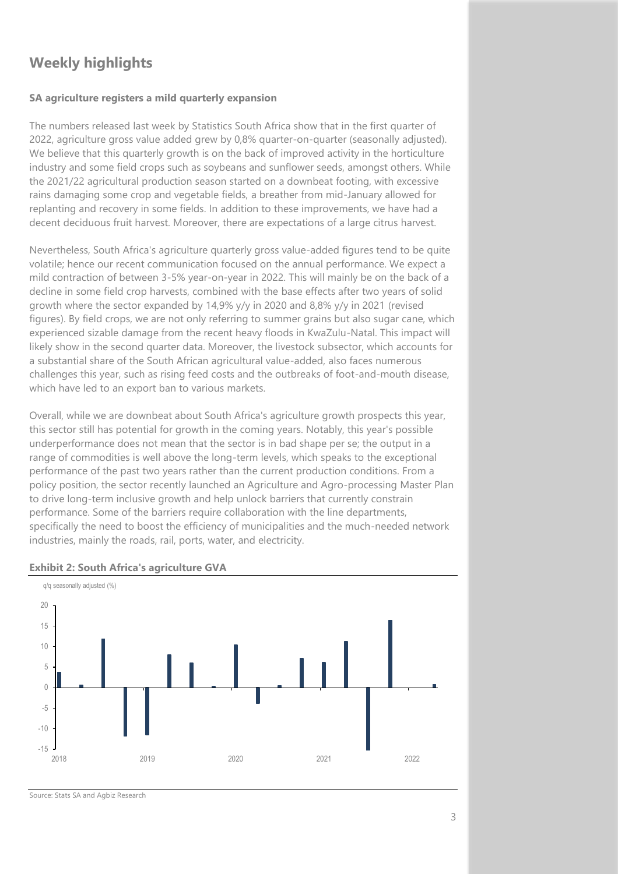# **Weekly highlights**

### **SA agriculture registers a mild quarterly expansion**

The numbers released last week by Statistics South Africa show that in the first quarter of 2022, agriculture gross value added grew by 0,8% quarter-on-quarter (seasonally adjusted). We believe that this quarterly growth is on the back of improved activity in the horticulture industry and some field crops such as soybeans and sunflower seeds, amongst others. While the 2021/22 agricultural production season started on a downbeat footing, with excessive rains damaging some crop and vegetable fields, a breather from mid-January allowed for replanting and recovery in some fields. In addition to these improvements, we have had a decent deciduous fruit harvest. Moreover, there are expectations of a large citrus harvest.

Nevertheless, South Africa's agriculture quarterly gross value-added figures tend to be quite volatile; hence our recent communication focused on the annual performance. We expect a mild contraction of between 3-5% year-on-year in 2022. This will mainly be on the back of a decline in some field crop harvests, combined with the base effects after two years of solid growth where the sector expanded by 14,9% y/y in 2020 and 8,8% y/y in 2021 (revised figures). By field crops, we are not only referring to summer grains but also sugar cane, which experienced sizable damage from the recent heavy floods in KwaZulu-Natal. This impact will likely show in the second quarter data. Moreover, the livestock subsector, which accounts for a substantial share of the South African agricultural value-added, also faces numerous challenges this year, such as rising feed costs and the outbreaks of foot-and-mouth disease, which have led to an export ban to various markets.

Overall, while we are downbeat about South Africa's agriculture growth prospects this year, this sector still has potential for growth in the coming years. Notably, this year's possible underperformance does not mean that the sector is in bad shape per se; the output in a range of commodities is well above the long-term levels, which speaks to the exceptional performance of the past two years rather than the current production conditions. From a policy position, the sector recently launched an Agriculture and Agro-processing Master Plan to drive long-term inclusive growth and help unlock barriers that currently constrain performance. Some of the barriers require collaboration with the line departments, specifically the need to boost the efficiency of municipalities and the much-needed network industries, mainly the roads, rail, ports, water, and electricity.



### **Exhibit 2: South Africa's agriculture GVA**

Source: Stats SA and Agbiz Research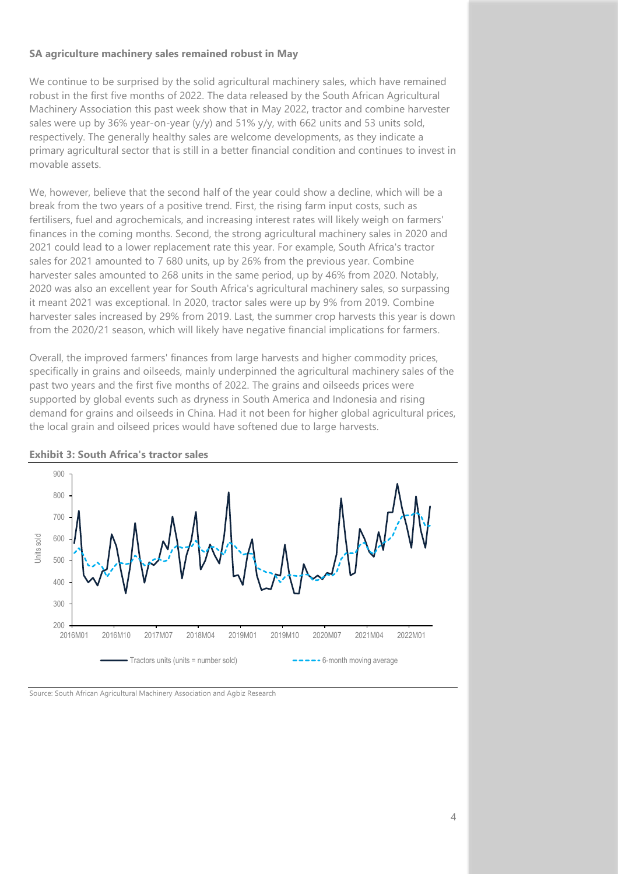### **SA agriculture machinery sales remained robust in May**

We continue to be surprised by the solid agricultural machinery sales, which have remained robust in the first five months of 2022. The data released by the South African Agricultural Machinery Association this past week show that in May 2022, tractor and combine harvester sales were up by 36% year-on-year (y/y) and 51% y/y, with 662 units and 53 units sold, respectively. The generally healthy sales are welcome developments, as they indicate a primary agricultural sector that is still in a better financial condition and continues to invest in movable assets.

We, however, believe that the second half of the year could show a decline, which will be a break from the two years of a positive trend. First, the rising farm input costs, such as fertilisers, fuel and agrochemicals, and increasing interest rates will likely weigh on farmers' finances in the coming months. Second, the strong agricultural machinery sales in 2020 and 2021 could lead to a lower replacement rate this year. For example, South Africa's tractor sales for 2021 amounted to 7 680 units, up by 26% from the previous year. Combine harvester sales amounted to 268 units in the same period, up by 46% from 2020. Notably, 2020 was also an excellent year for South Africa's agricultural machinery sales, so surpassing it meant 2021 was exceptional. In 2020, tractor sales were up by 9% from 2019. Combine harvester sales increased by 29% from 2019. Last, the summer crop harvests this year is down from the 2020/21 season, which will likely have negative financial implications for farmers.

Overall, the improved farmers' finances from large harvests and higher commodity prices, specifically in grains and oilseeds, mainly underpinned the agricultural machinery sales of the past two years and the first five months of 2022. The grains and oilseeds prices were supported by global events such as dryness in South America and Indonesia and rising demand for grains and oilseeds in China. Had it not been for higher global agricultural prices, the local grain and oilseed prices would have softened due to large harvests.



**Exhibit 3: South Africa's tractor sales** 

#### Source: South African Agricultural Machinery Association and Agbiz Research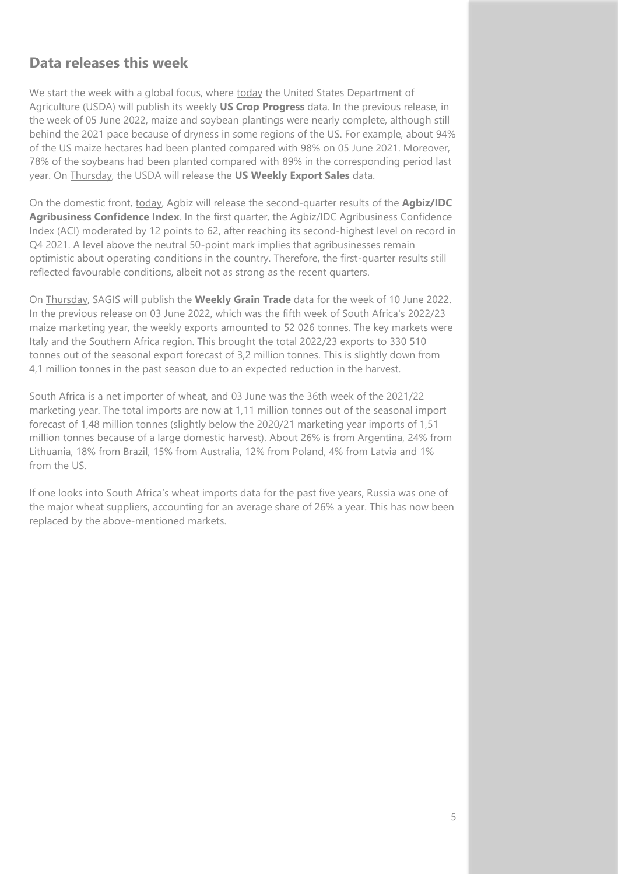## **Data releases this week**

We start the week with a global focus, where today the United States Department of Agriculture (USDA) will publish its weekly **US Crop Progress** data. In the previous release, in the week of 05 June 2022, maize and soybean plantings were nearly complete, although still behind the 2021 pace because of dryness in some regions of the US. For example, about 94% of the US maize hectares had been planted compared with 98% on 05 June 2021. Moreover, 78% of the soybeans had been planted compared with 89% in the corresponding period last year. On Thursday, the USDA will release the **US Weekly Export Sales** data.

On the domestic front, today, Agbiz will release the second-quarter results of the **Agbiz/IDC Agribusiness Confidence Index**. In the first quarter, the Agbiz/IDC Agribusiness Confidence Index (ACI) moderated by 12 points to 62, after reaching its second-highest level on record in Q4 2021. A level above the neutral 50-point mark implies that agribusinesses remain optimistic about operating conditions in the country. Therefore, the first-quarter results still reflected favourable conditions, albeit not as strong as the recent quarters.

On Thursday, SAGIS will publish the **Weekly Grain Trade** data for the week of 10 June 2022. In the previous release on 03 June 2022, which was the fifth week of South Africa's 2022/23 maize marketing year, the weekly exports amounted to 52 026 tonnes. The key markets were Italy and the Southern Africa region. This brought the total 2022/23 exports to 330 510 tonnes out of the seasonal export forecast of 3,2 million tonnes. This is slightly down from 4,1 million tonnes in the past season due to an expected reduction in the harvest.

South Africa is a net importer of wheat, and 03 June was the 36th week of the 2021/22 marketing year. The total imports are now at 1,11 million tonnes out of the seasonal import forecast of 1,48 million tonnes (slightly below the 2020/21 marketing year imports of 1,51 million tonnes because of a large domestic harvest). About 26% is from Argentina, 24% from Lithuania, 18% from Brazil, 15% from Australia, 12% from Poland, 4% from Latvia and 1% from the US.

If one looks into South Africa's wheat imports data for the past five years, Russia was one of the major wheat suppliers, accounting for an average share of 26% a year. This has now been replaced by the above-mentioned markets.